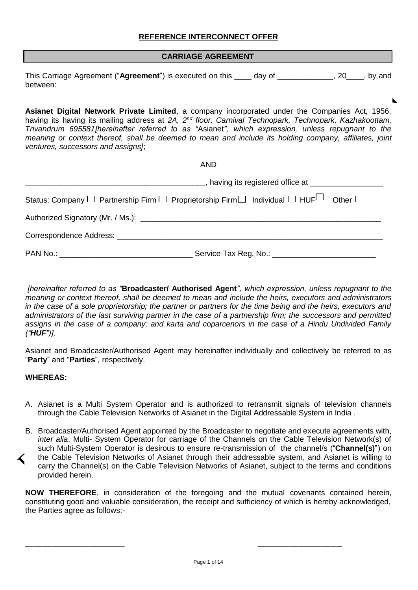### **REFERENCE INTERCONNECT OFFER**

#### **CARRIAGE AGREEMENT**

This Carriage Agreement ("**Agreement**") is executed on this \_\_\_\_ day of \_\_\_\_\_\_\_\_\_\_\_\_\_, 20\_\_\_\_, by and between:

N

**Asianet Digital Network Private Limited**, a company incorporated under the Companies Act, 1956, having its having its mailing address at *2A, 2nd floor, Carnival Technopark, Technopark, Kazhakoottam, Trivandrum 695581[hereinafter referred to as "*Asianet*", which expression, unless repugnant to the meaning or context thereof, shall be deemed to mean and include its holding company, affiliates, joint ventures, successors and assigns]*;

|                              | <b>AND</b>                                                                                                          |
|------------------------------|---------------------------------------------------------------------------------------------------------------------|
|                              | ________, having its registered office at _____________________                                                     |
|                              | Status: Company $\Box$ Partnership Firm $\Box$ Proprietorship Firm $\Box$ Individual $\Box$ HUF $\Box$ Other $\Box$ |
|                              |                                                                                                                     |
|                              |                                                                                                                     |
| <b>PAN No.: EXAMPLE 2008</b> | Service Tax Reg. No.: ________________________                                                                      |

*[hereinafter referred to as "***Broadcaster/ Authorised Agent***", which expression, unless repugnant to the meaning or context thereof, shall be deemed to mean and include the heirs, executors and administrators in the case of a sole proprietorship; the partner or partners for the time being and the heirs, executors and administrators of the last surviving partner in the case of a partnership firm; the successors and permitted assigns in the case of a company; and karta and coparcenors in the case of a Hindu Undivided Family ("HUF")]*.

Asianet and Broadcaster/Authorised Agent may hereinafter individually and collectively be referred to as "**Party**" and "**Parties**", respectively.

#### **WHEREAS:**

the Parties agree as follows:-

- A. Asianet is a Multi System Operator and is authorized to retransmit signals of television channels through the Cable Television Networks of Asianet in the Digital Addressable System in India .
- B. Broadcaster/Authorised Agent appointed by the Broadcaster to negotiate and execute agreements with, *inter alia*, Multi- System Operator for carriage of the Channels on the Cable Television Network(s) of such Multi-System Operator is desirous to ensure re-transmission of the channel/s ("**Channel(s)**") on the Cable Television Networks of Asianet through their addressable system, and Asianet is willing to carry the Channel(s) on the Cable Television Networks of Asianet, subject to the terms and conditions

provided herein. **NOW THEREFORE**, in consideration of the foregoing and the mutual covenants contained herein, constituting good and valuable consideration, the receipt and sufficiency of which is hereby acknowledged,

Page 1 of 14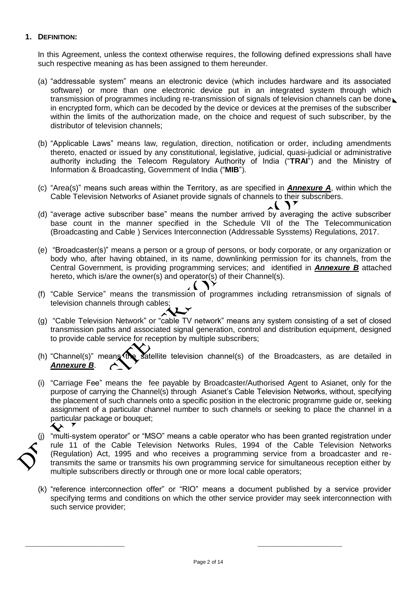### **1. DEFINITION:**

In this Agreement, unless the context otherwise requires, the following defined expressions shall have such respective meaning as has been assigned to them hereunder.

- (a) "addressable system" means an electronic device (which includes hardware and its associated software) or more than one electronic device put in an integrated system through which transmission of programmes including re-transmission of signals of television channels can be done in encrypted form, which can be decoded by the device or devices at the premises of the subscriber within the limits of the authorization made, on the choice and request of such subscriber, by the distributor of television channels;
- (b) "Applicable Laws" means law, regulation, direction, notification or order, including amendments thereto, enacted or issued by any constitutional, legislative, judicial, quasi-judicial or administrative authority including the Telecom Regulatory Authority of India ("**TRAI**") and the Ministry of Information & Broadcasting, Government of India ("**MIB**").
- (c) "Area(s)" means such areas within the Territory, as are specified in *Annexure A*, within which the Cable Television Networks of Asianet provide signals of channels to their subscribers.
- $\Lambda$ (d) "average active subscriber base" means the number arrived by averaging the active subscriber base count in the manner specified in the Schedule VII of the The Telecommunication (Broadcasting and Cable ) Services Interconnection (Addressable Sysstems) Regulations, 2017.
- (e) "Broadcaster(s)" means a person or a group of persons, or body corporate, or any organization or body who, after having obtained, in its name, downlinking permission for its channels, from the Central Government, is providing programming services; and identified in *Annexure B* attached hereto, which is/are the owner(s) and operator(s) of their Channel(s).
- $(\Delta^{\gamma})$ (f) "Cable Service" means the transmission of programmes including retransmission of signals of television channels through cables;
- (g) "Cable Television Network" or "cable TV network" means any system consisting of a set of closed transmission paths and associated signal generation, control and distribution equipment, designed to provide cable service for reception by multiple subscribers;
- (h) "Channel(s)" means the satellite television channel(s) of the Broadcasters, as are detailed in *Annexure B*.
- (i) "Carriage Fee" means the fee payable by Broadcaster/Authorised Agent to Asianet, only for the purpose of carrying the Channel(s) through Asianet's Cable Television Networks, without, specifying the placement of such channels onto a specific position in the electronic programme guide or, seeking assignment of a particular channel number to such channels or seeking to place the channel in a particular package or bouquet;  $\rightsquigarrow$  $\overline{\phantom{a}}$



"multi-system operator" or "MSO" means a cable operator who has been granted registration under rule 11 of the Cable Television Networks Rules, 1994 of the Cable Television Networks (Regulation) Act, 1995 and who receives a programming service from a broadcaster and retransmits the same or transmits his own programming service for simultaneous reception either by multiple subscribers directly or through one or more local cable operators;

(k) "reference interconnection offer" or "RIO" means a document published by a service provider specifying terms and conditions on which the other service provider may seek interconnection with such service provider;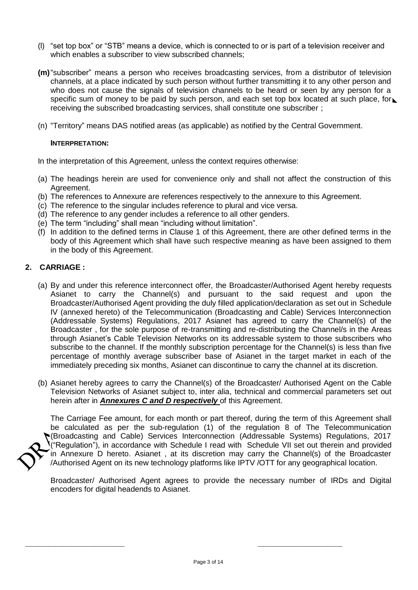- (l) "set top box" or "STB" means a device, which is connected to or is part of a television receiver and which enables a subscriber to view subscribed channels;
- **(m)**"subscriber" means a person who receives broadcasting services, from a distributor of television channels, at a place indicated by such person without further transmitting it to any other person and who does not cause the signals of television channels to be heard or seen by any person for a specific sum of money to be paid by such person, and each set top box located at such place, for receiving the subscribed broadcasting services, shall constitute one subscriber ;
- (n) "Territory" means DAS notified areas (as applicable) as notified by the Central Government.

#### **INTERPRETATION:**

In the interpretation of this Agreement, unless the context requires otherwise:

- (a) The headings herein are used for convenience only and shall not affect the construction of this Agreement.
- (b) The references to Annexure are references respectively to the annexure to this Agreement.
- (c) The reference to the singular includes reference to plural and vice versa.
- (d) The reference to any gender includes a reference to all other genders.
- (e) The term "including" shall mean "including without limitation".
- (f) In addition to the defined terms in Clause 1 of this Agreement, there are other defined terms in the body of this Agreement which shall have such respective meaning as have been assigned to them in the body of this Agreement.

### **2. CARRIAGE :**

- (a) By and under this reference interconnect offer, the Broadcaster/Authorised Agent hereby requests Asianet to carry the Channel(s) and pursuant to the said request and upon the Broadcaster/Authorised Agent providing the duly filled application/declaration as set out in Schedule IV (annexed hereto) of the Telecommunication (Broadcasting and Cable) Services Interconnection (Addressable Systems) Regulations, 2017 Asianet has agreed to carry the Channel(s) of the Broadcaster , for the sole purpose of re-transmitting and re-distributing the Channel/s in the Areas through Asianet's Cable Television Networks on its addressable system to those subscribers who subscribe to the channel. If the monthly subscription percentage for the Channel(s) is less than five percentage of monthly average subscriber base of Asianet in the target market in each of the immediately preceding six months, Asianet can discontinue to carry the channel at its discretion.
- (b) Asianet hereby agrees to carry the Channel(s) of the Broadcaster/ Authorised Agent on the Cable Television Networks of Asianet subject to, inter alia, technical and commercial parameters set out herein after in *Annexures C and D respectively* of this Agreement.

The Carriage Fee amount, for each month or part thereof, during the term of this Agreement shall be calculated as per the sub-regulation (1) of the regulation 8 of The Telecommunication (Broadcasting and Cable) Services Interconnection (Addressable Systems) Regulations, 2017 ("Regulation"), in accordance with Schedule I read with Schedule VII set out therein and provided in Annexure D hereto. Asianet , at its discretion may carry the Channel(s) of the Broadcaster /Authorised Agent on its new technology platforms like IPTV /OTT for any geographical location.

Broadcaster/ Authorised Agent agrees to provide the necessary number of IRDs and Digital encoders for digital headends to Asianet.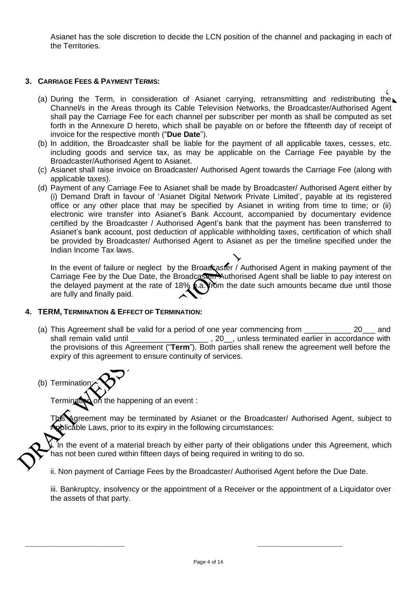Asianet has the sole discretion to decide the LCN position of the channel and packaging in each of the Territories.

#### **3. CARRIAGE FEES & PAYMENT TERMS:**

- (a) During the Term, in consideration of Asianet carrying, retransmitting and redistributing the Channel/s in the Areas through its Cable Television Networks, the Broadcaster/Authorised Agent shall pay the Carriage Fee for each channel per subscriber per month as shall be computed as set forth in the Annexure D hereto, which shall be payable on or before the fifteenth day of receipt of invoice for the respective month ("**Due Date**").
- (b) In addition, the Broadcaster shall be liable for the payment of all applicable taxes, cesses, etc. including goods and service tax, as may be applicable on the Carriage Fee payable by the Broadcaster/Authorised Agent to Asianet.
- (c) Asianet shall raise invoice on Broadcaster/ Authorised Agent towards the Carriage Fee (along with applicable taxes).
- (d) Payment of any Carriage Fee to Asianet shall be made by Broadcaster/ Authorised Agent either by (i) Demand Draft in favour of 'Asianet Digital Network Private Limited', payable at its registered office or any other place that may be specified by Asianet in writing from time to time; or (ii) electronic wire transfer into Asianet's Bank Account, accompanied by documentary evidence certified by the Broadcaster / Authorised Agent's bank that the payment has been transferred to Asianet's bank account, post deduction of applicable withholding taxes, certification of which shall be provided by Broadcaster/ Authorised Agent to Asianet as per the timeline specified under the Indian Income Tax laws.

In the event of failure or neglect by the Broadcaster / Authorised Agent in making payment of the Carriage Fee by the Due Date, the Broadcaster/ Authorised Agent shall be liable to pay interest on the delayed payment at the rate of 18%  $\alpha$ . From the date such amounts became due until those are fully and finally paid.

#### **4. TERM, TERMINATION & EFFECT OF TERMINATION:**

(a) This Agreement shall be valid for a period of one year commencing from  $\sim$  20 and shall remain valid until \_\_\_\_\_\_\_\_\_\_\_\_\_\_\_\_\_\_\_\_\_\_\_, 20\_, unless terminated earlier in accordance with the provisions of this Agreement ("**Term**"). Both parties shall renew the agreement well before the expiry of this agreement to ensure continuity of services.

(b) Termination

Terminative on the happening of an event :

Agreement may be terminated by Asianet or the Broadcaster/ Authorised Agent, subject to Applicable Laws, prior to its expiry in the following circumstances:

In the event of a material breach by either party of their obligations under this Agreement, which has not been cured within fifteen days of being required in writing to do so.

ii. Non payment of Carriage Fees by the Broadcaster/ Authorised Agent before the Due Date.

iii. Bankruptcy, insolvency or the appointment of a Receiver or the appointment of a Liquidator over the assets of that party.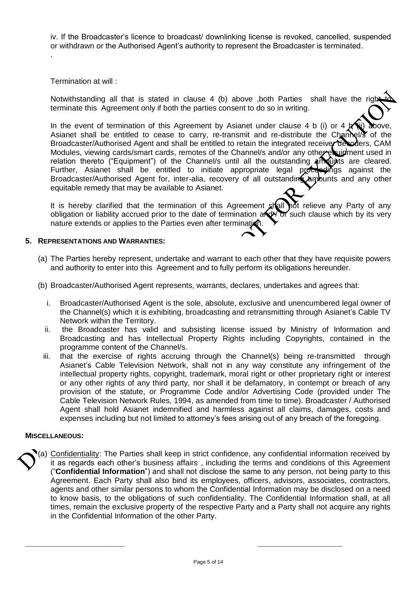iv. If the Broadcaster's licence to broadcast/ downlinking license is revoked, cancelled, suspended or withdrawn or the Authorised Agent's authority to represent the Broadcaster is terminated.

Termination at will :

.

Notwithstanding all that is stated in clause  $4$  (b) above , both Parties shall have the right terminate this Agreement only if both the parties consent to do so in writing.

In the event of termination of this Agreement by Asianet under clause 4 b (i) or 4  $\mathbf{r}$ Asianet shall be entitled to cease to carry, re-transmit and re-distribute the Channel/s of the Broadcaster/Authorised Agent and shall be entitled to retain the integrated receiver decoders, CAM Modules, viewing cards/smart cards, remotes of the Channel/s and/or any other equipment used in relation thereto ("Equipment") of the Channel/s until all the outstanding an upts are cleared. Further, Asianet shall be entitled to initiate appropriate legal proceedings against the Broadcaster/Authorised Agent for, inter-alia, recovery of all outstanding amounts and any other equitable remedy that may be available to Asianet.

It is hereby clarified that the termination of this Agreement shall not relieve any Party of any obligation or liability accrued prior to the date of termination  $\frac{d}{dx}$  or such clause which by its very nature extends or applies to the Parties even after termination.

#### **5. REPRESENTATIONS AND WARRANTIES:**

- (a) The Parties hereby represent, undertake and warrant to each other that they have requisite powers and authority to enter into this Agreement and to fully perform its obligations hereunder.
- (b) Broadcaster/Authorised Agent represents, warrants, declares, undertakes and agrees that:
	- i. Broadcaster/Authorised Agent is the sole, absolute, exclusive and unencumbered legal owner of the Channel(s) which it is exhibiting, broadcasting and retransmitting through Asianet's Cable TV Network within the Territory.
	- ii. the Broadcaster has valid and subsisting license issued by Ministry of Information and Broadcasting and has Intellectual Property Rights including Copyrights, contained in the programme content of the Channel/s.
	- iii. that the exercise of rights accruing through the Channel(s) being re-transmitted through Asianet's Cable Television Network, shall not in any way constitute any infringement of the intellectual property rights, copyright, trademark, moral right or other proprietary right or interest or any other rights of any third party, nor shall it be defamatory, in contempt or breach of any provision of the statute, or Programme Code and/or Advertising Code (provided under The Cable Television Network Rules, 1994, as amended from time to time). Broadcaster / Authorised Agent shall hold Asianet indemnified and harmless against all claims, damages, costs and expenses including but not limited to attorney's fees arising out of any breach of the foregoing.

#### **MISCELLANEOUS:**

(a) Confidentiality: The Parties shall keep in strict confidence, any confidential information received by it as regards each other's business affairs , including the terms and conditions of this Agreement ("**Confidential Information**") and shall not disclose the same to any person, not being party to this Agreement. Each Party shall also bind its employees, officers, advisors, associates, contractors, agents and other similar persons to whom the Confidential Information may be disclosed on a need to know basis, to the obligations of such confidentiality. The Confidential Information shall, at all times, remain the exclusive property of the respective Party and a Party shall not acquire any rights in the Confidential Information of the other Party.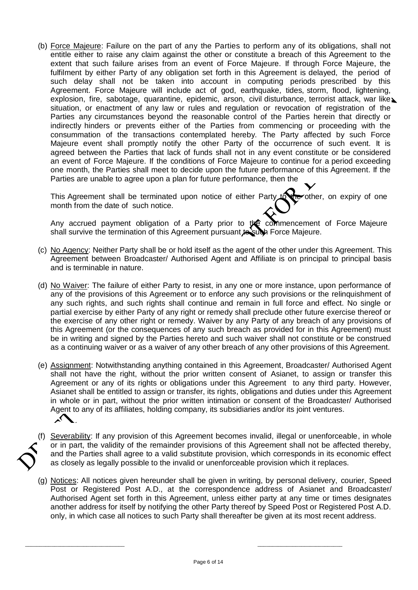(b) Force Majeure: Failure on the part of any the Parties to perform any of its obligations, shall not entitle either to raise any claim against the other or constitute a breach of this Agreement to the extent that such failure arises from an event of Force Majeure. If through Force Majeure, the fulfilment by either Party of any obligation set forth in this Agreement is delayed, the period of such delay shall not be taken into account in computing periods prescribed by this Agreement. Force Majeure will include act of god, earthquake, tides, storm, flood, lightening, explosion, fire, sabotage, quarantine, epidemic, arson, civil disturbance, terrorist attack, war like situation, or enactment of any law or rules and regulation or revocation of registration of the Parties any circumstances beyond the reasonable control of the Parties herein that directly or indirectly hinders or prevents either of the Parties from commencing or proceeding with the consummation of the transactions contemplated hereby. The Party affected by such Force Majeure event shall promptly notify the other Party of the occurrence of such event. It is agreed between the Parties that lack of funds shall not in any event constitute or be considered an event of Force Majeure. If the conditions of Force Majeure to continue for a period exceeding one month, the Parties shall meet to decide upon the future performance of this Agreement. If the Parties are unable to agree upon a plan for future performance, then the

This Agreement shall be terminated upon notice of either Party  $\mathcal{L}$  other, on expiry of one month from the date of such notice.

Any accrued payment obligation of a Party prior to the commencement of Force Majeure shall survive the termination of this Agreement pursuant to subh Force Majeure.

- (c) No Agency: Neither Party shall be or hold itself as the agent of the other under this Agreement. This Agreement between Broadcaster/ Authorised Agent and Affiliate is on principal to principal basis and is terminable in nature.
- (d) No Waiver: The failure of either Party to resist, in any one or more instance, upon performance of any of the provisions of this Agreement or to enforce any such provisions or the relinquishment of any such rights, and such rights shall continue and remain in full force and effect. No single or partial exercise by either Party of any right or remedy shall preclude other future exercise thereof or the exercise of any other right or remedy. Waiver by any Party of any breach of any provisions of this Agreement (or the consequences of any such breach as provided for in this Agreement) must be in writing and signed by the Parties hereto and such waiver shall not constitute or be construed as a continuing waiver or as a waiver of any other breach of any other provisions of this Agreement.
- (e) Assignment: Notwithstanding anything contained in this Agreement, Broadcaster/ Authorised Agent shall not have the right, without the prior written consent of Asianet, to assign or transfer this Agreement or any of its rights or obligations under this Agreement to any third party. However, Asianet shall be entitled to assign or transfer, its rights, obligations and duties under this Agreement in whole or in part, without the prior written intimation or consent of the Broadcaster/ Authorised Agent to any of its affiliates, holding company, its subsidiaries and/or its joint ventures.  $\Lambda$
- (f) Severability: If any provision of this Agreement becomes invalid, illegal or unenforceable, in whole or in part, the validity of the remainder provisions of this Agreement shall not be affected thereby, and the Parties shall agree to a valid substitute provision, which corresponds in its economic effect as closely as legally possible to the invalid or unenforceable provision which it replaces.
- (g) Notices: All notices given hereunder shall be given in writing, by personal delivery, courier, Speed Post or Registered Post A.D., at the correspondence address of Asianet and Broadcaster/ Authorised Agent set forth in this Agreement, unless either party at any time or times designates another address for itself by notifying the other Party thereof by Speed Post or Registered Post A.D. only, in which case all notices to such Party shall thereafter be given at its most recent address.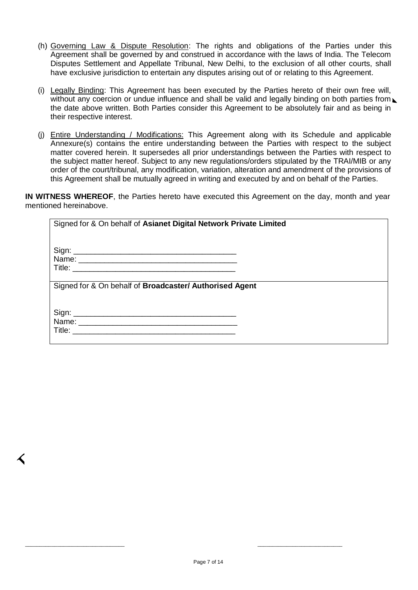- (h) Governing Law & Dispute Resolution: The rights and obligations of the Parties under this Agreement shall be governed by and construed in accordance with the laws of India. The Telecom Disputes Settlement and Appellate Tribunal, New Delhi, to the exclusion of all other courts, shall have exclusive jurisdiction to entertain any disputes arising out of or relating to this Agreement.
- (i) Legally Binding: This Agreement has been executed by the Parties hereto of their own free will, without any coercion or undue influence and shall be valid and legally binding on both parties from the date above written. Both Parties consider this Agreement to be absolutely fair and as being in their respective interest.
- (j) Entire Understanding / Modifications: This Agreement along with its Schedule and applicable Annexure(s) contains the entire understanding between the Parties with respect to the subject matter covered herein. It supersedes all prior understandings between the Parties with respect to the subject matter hereof. Subject to any new regulations/orders stipulated by the TRAI/MIB or any order of the court/tribunal, any modification, variation, alteration and amendment of the provisions of this Agreement shall be mutually agreed in writing and executed by and on behalf of the Parties.

**IN WITNESS WHEREOF**, the Parties hereto have executed this Agreement on the day, month and year mentioned hereinabove.

| Signed for & On behalf of Asianet Digital Network Private Limited |  |
|-------------------------------------------------------------------|--|
|                                                                   |  |
|                                                                   |  |
| Signed for & On behalf of Broadcaster/ Authorised Agent           |  |
|                                                                   |  |
|                                                                   |  |
|                                                                   |  |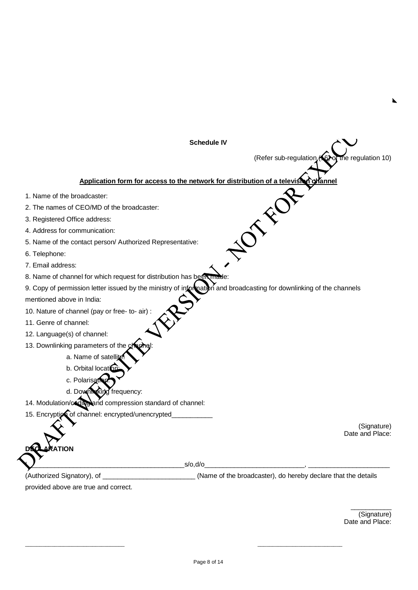**Schedule IV** (Refer sub-regulation (6) of the regulation 10) Application form for access to the network for distribution of a television channel 1. Name of the broadcaster: 0188 2. The names of CEO/MD of the broadcaster: 3. Registered Office address: 4. Address for communication: 5. Name of the contact person/ Authorized Representative: 6. Telephone: 7. Email address: 8. Name of channel for which request for distribution has been made: 9. Copy of permission letter issued by the ministry of information and broadcasting for downlinking of the channels mentioned above in India: 10. Nature of channel (pay or free- to- air) : 11. Genre of channel: 12. Language(s) of channel: 13. Downlinking parameters of the a. Name of satellit b. Orbital location c. Polarisat d. Downloaking frequency: 14. Modulation/coding and compression standard of channel: 15. Encryptice of channel: encrypted/unencrypted\_ (Signature) Date and Place: **DEC**  $S/O, d/O$  , and the state of the state of  $S/O, d/O$  , and the state of the state of  $S/O, d/O$  , and the state of  $S/O, d/O$  , and the state of  $S/O, d/O$  , and the state of  $S/O, d/O$  , and the state of  $S/O, d/O$  , and the state of  $S/O$  , (Authorized Signatory), of \_\_\_\_\_\_\_\_\_\_\_\_\_\_\_\_\_\_\_\_\_\_\_\_\_ (Name of the broadcaster), do hereby declare that the details

provided above are true and correct.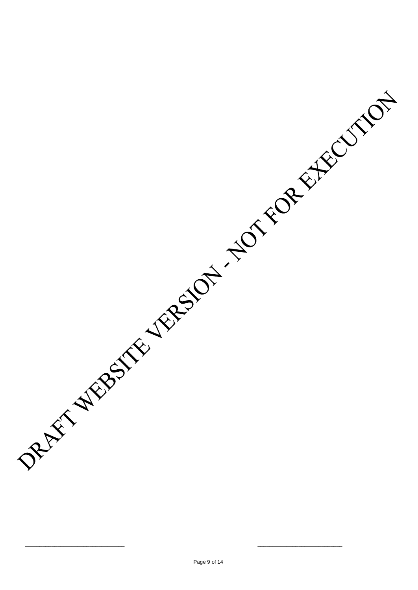DRAFT WEBSTRE VERSION - NOT TORESTOOM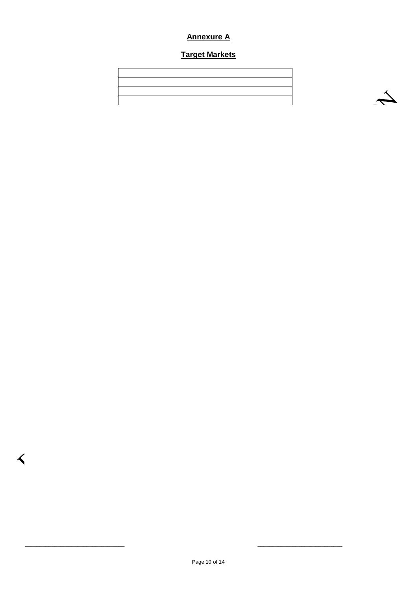## **Annexure A**

### **Target Markets**

| ,我们的人们就会在这里,我们的人们就会在这里,我们的人们就会在这里,我们的人们就会在这里,我们的人们就会在这里,我们的人们就会在这里,我们的人们就会在这里,我们 |  |                                                                            |
|----------------------------------------------------------------------------------|--|----------------------------------------------------------------------------|
|                                                                                  |  |                                                                            |
|                                                                                  |  |                                                                            |
|                                                                                  |  |                                                                            |
|                                                                                  |  |                                                                            |
|                                                                                  |  |                                                                            |
|                                                                                  |  | the control of the control of the control of the control of the control of |
|                                                                                  |  |                                                                            |
|                                                                                  |  |                                                                            |

 $\triangle$ 

\_\_\_\_\_\_\_\_\_\_\_\_\_\_\_\_\_\_\_\_\_\_\_\_\_\_\_\_\_\_\_\_\_\_ \_\_\_\_\_\_\_\_\_\_\_\_\_\_\_\_\_\_\_\_\_\_\_\_\_\_\_\_\_

 $\blacktriangle$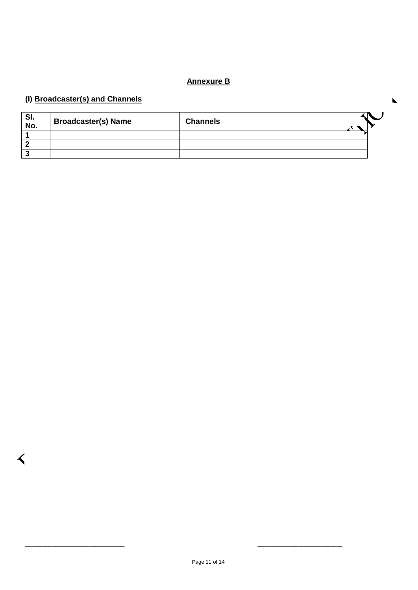### **Annexure B**

 $\blacktriangle$ 

# **(I) Broadcaster(s) and Channels**

 $\blacktriangle$ 

| SI.<br>No. | <b>Broadcaster(s) Name</b> | <b>Channels</b> |  |
|------------|----------------------------|-----------------|--|
|            |                            |                 |  |
|            |                            |                 |  |
|            |                            |                 |  |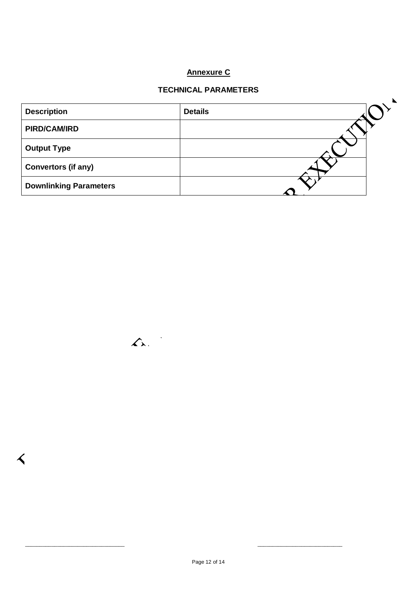### **Annexure C**

### **TECHNICAL PARAMETERS**

 $\mathbf{r}$ 

| <b>Description</b>            | <b>Details</b> | - |
|-------------------------------|----------------|---|
| <b>PIRD/CAM/IRD</b>           |                |   |
| <b>Output Type</b>            |                |   |
| <b>Convertors (if any)</b>    |                |   |
| <b>Downlinking Parameters</b> |                |   |



く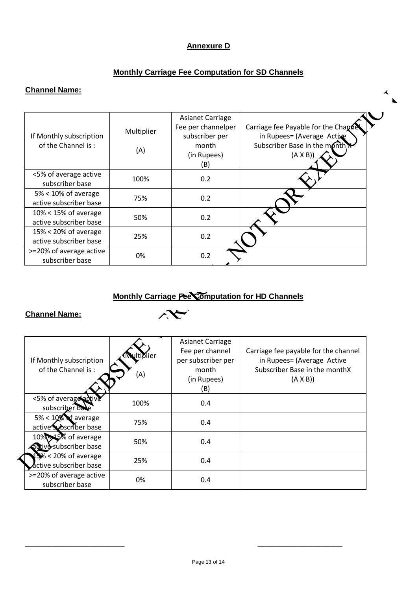### **Annexure D**

## **Monthly Carriage Fee Computation for SD Channels**

# **Channel Name:**

| <b>Channel Name:</b>                               |                   |                                                                                                |                                                                                                                       |
|----------------------------------------------------|-------------------|------------------------------------------------------------------------------------------------|-----------------------------------------------------------------------------------------------------------------------|
| If Monthly subscription<br>of the Channel is:      | Multiplier<br>(A) | <b>Asianet Carriage</b><br>Fee per channelper<br>subscriber per<br>month<br>(in Rupees)<br>(B) | Carriage fee Payable for the Channe<br>in Rupees= (Average Active<br>Subscriber Base in the month.<br>$(A \times B))$ |
| <5% of average active<br>subscriber base           | 100%              | 0.2                                                                                            |                                                                                                                       |
| $5\% < 10\%$ of average<br>active subscriber base  | 75%               | 0.2                                                                                            |                                                                                                                       |
| $10\% < 15\%$ of average<br>active subscriber base | 50%               | 0.2                                                                                            |                                                                                                                       |
| 15% < 20% of average<br>active subscriber base     | 25%               | 0.2                                                                                            |                                                                                                                       |
| >=20% of average active<br>subscriber base         | 0%                | 0.2                                                                                            |                                                                                                                       |

## **Monthly Carriage Fee Computation for HD Channels**

 $\lambda$ 

### **Channel Name:**

 $\overline{\phantom{a}}$ 

| If Monthly subscription<br>of the Channel is:     | lıer<br>(A) | <b>Asianet Carriage</b><br>Fee per channel<br>per subscriber per<br>month<br>(in Rupees)<br>(B) | Carriage fee payable for the channel<br>in Rupees= (Average Active<br>Subscriber Base in the monthX<br>$(A \times B))$ |
|---------------------------------------------------|-------------|-------------------------------------------------------------------------------------------------|------------------------------------------------------------------------------------------------------------------------|
| <5% of average active<br>subscriber base          | 100%        | 0.4                                                                                             |                                                                                                                        |
| $5\% < 10\%$ of average<br>active woscriber base  | 75%         | 0.4                                                                                             |                                                                                                                        |
| 10% 15% of average<br>adtive subscriber base      | 50%         | 0.4                                                                                             |                                                                                                                        |
| $1\% < 20\%$ of average<br>active subscriber base | 25%         | 0.4                                                                                             |                                                                                                                        |
| >=20% of average active<br>subscriber base        | 0%          | 0.4                                                                                             |                                                                                                                        |